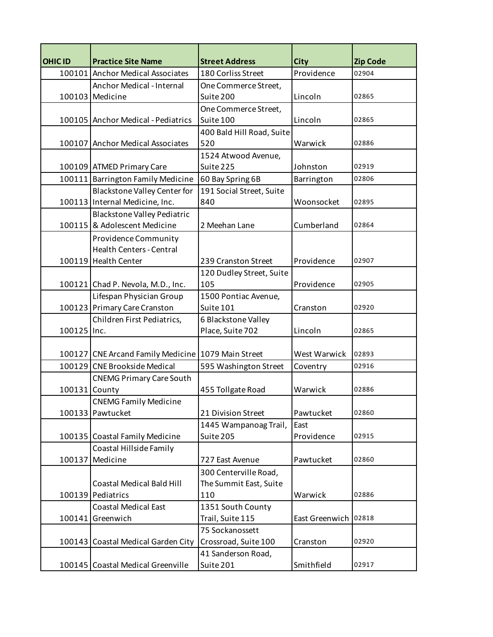| <b>OHIC ID</b> | <b>Practice Site Name</b>                          | <b>Street Address</b>     | <b>City</b>            | <b>Zip Code</b> |
|----------------|----------------------------------------------------|---------------------------|------------------------|-----------------|
|                | 100101 Anchor Medical Associates                   | 180 Corliss Street        | Providence             | 02904           |
|                | Anchor Medical - Internal                          | One Commerce Street,      |                        |                 |
|                | 100103 Medicine                                    | Suite 200                 | Lincoln                | 02865           |
|                |                                                    | One Commerce Street,      |                        |                 |
|                | 100105 Anchor Medical - Pediatrics                 | Suite 100                 | Lincoln                | 02865           |
|                |                                                    | 400 Bald Hill Road, Suite |                        |                 |
|                | 100107 Anchor Medical Associates                   | 520                       | Warwick                | 02886           |
|                |                                                    | 1524 Atwood Avenue,       |                        |                 |
|                | 100109 ATMED Primary Care                          | Suite 225                 | Johnston               | 02919           |
|                | 100111 Barrington Family Medicine                  | 60 Bay Spring 6B          | Barrington             | 02806           |
|                | Blackstone Valley Center for                       | 191 Social Street, Suite  |                        |                 |
|                | 100113 Internal Medicine, Inc.                     | 840                       | Woonsocket             | 02895           |
|                | <b>Blackstone Valley Pediatric</b>                 |                           |                        |                 |
|                | 100115 & Adolescent Medicine                       | 2 Meehan Lane             | Cumberland             | 02864           |
|                | Providence Community                               |                           |                        |                 |
|                | <b>Health Centers - Central</b>                    |                           |                        |                 |
|                | 100119 Health Center                               | 239 Cranston Street       | Providence             | 02907           |
|                |                                                    | 120 Dudley Street, Suite  |                        |                 |
|                | 100121 Chad P. Nevola, M.D., Inc.                  | 105                       | Providence             | 02905           |
|                | Lifespan Physician Group                           | 1500 Pontiac Avenue,      |                        |                 |
|                | 100123 Primary Care Cranston                       | Suite 101                 | Cranston               | 02920           |
|                | Children First Pediatrics,                         | 6 Blackstone Valley       |                        |                 |
| 100125 Inc.    |                                                    | Place, Suite 702          | Lincoln                | 02865           |
|                |                                                    |                           |                        |                 |
|                | 100127 CNE Arcand Family Medicine 1079 Main Street |                           | West Warwick           | 02893           |
|                | 100129 CNE Brookside Medical                       | 595 Washington Street     | Coventry               | 02916           |
|                | <b>CNEMG Primary Care South</b>                    |                           |                        |                 |
| 100131         | County                                             | 455 Tollgate Road         | Warwick                | 02886           |
|                | <b>CNEMG Family Medicine</b>                       |                           |                        |                 |
|                | 100133 Pawtucket                                   | 21 Division Street        | Pawtucket              | 02860           |
|                |                                                    | 1445 Wampanoag Trail,     | East                   |                 |
|                | 100135 Coastal Family Medicine                     | Suite 205                 | Providence             | 02915           |
|                | Coastal Hillside Family                            |                           |                        |                 |
|                | 100137 Medicine                                    | 727 East Avenue           | Pawtucket              | 02860           |
|                |                                                    | 300 Centerville Road,     |                        |                 |
|                | <b>Coastal Medical Bald Hill</b>                   | The Summit East, Suite    |                        |                 |
|                | 100139 Pediatrics                                  | 110                       | Warwick                | 02886           |
|                | <b>Coastal Medical East</b>                        | 1351 South County         |                        |                 |
| 100141         | Greenwich                                          | Trail, Suite 115          | East Greenwich   02818 |                 |
|                |                                                    | 75 Sockanossett           |                        |                 |
|                | 100143 Coastal Medical Garden City                 | Crossroad, Suite 100      | Cranston               | 02920           |
|                |                                                    | 41 Sanderson Road,        |                        |                 |
|                | 100145 Coastal Medical Greenville                  | Suite 201                 | Smithfield             | 02917           |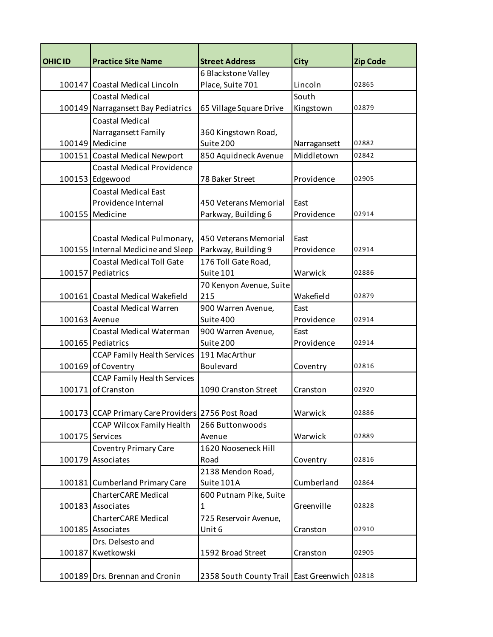| <b>OHIC ID</b> | <b>Practice Site Name</b>                                                             | <b>Street Address</b>                            | <b>City</b>  | <b>Zip Code</b> |
|----------------|---------------------------------------------------------------------------------------|--------------------------------------------------|--------------|-----------------|
|                |                                                                                       | 6 Blackstone Valley                              |              |                 |
|                | 100147 Coastal Medical Lincoln                                                        | Place, Suite 701                                 | Lincoln      | 02865           |
|                | Coastal Medical                                                                       |                                                  | South        |                 |
|                | 100149 Narragansett Bay Pediatrics                                                    | 65 Village Square Drive                          | Kingstown    | 02879           |
|                | <b>Coastal Medical</b>                                                                |                                                  |              |                 |
|                | Narragansett Family                                                                   | 360 Kingstown Road,                              |              |                 |
|                | 100149 Medicine                                                                       | Suite 200                                        | Narragansett | 02882           |
|                | 100151 Coastal Medical Newport                                                        | 850 Aquidneck Avenue                             | Middletown   | 02842           |
|                | <b>Coastal Medical Providence</b>                                                     |                                                  |              |                 |
|                | 100153 Edgewood                                                                       | 78 Baker Street                                  | Providence   | 02905           |
|                | <b>Coastal Medical East</b>                                                           |                                                  |              |                 |
|                | Providence Internal                                                                   | 450 Veterans Memorial                            | East         |                 |
|                | 100155 Medicine                                                                       | Parkway, Building 6                              | Providence   | 02914           |
|                |                                                                                       |                                                  |              |                 |
|                | Coastal Medical Pulmonary,                                                            | 450 Veterans Memorial                            | East         |                 |
|                | 100155 Internal Medicine and Sleep                                                    | Parkway, Building 9                              | Providence   | 02914           |
|                | <b>Coastal Medical Toll Gate</b>                                                      | 176 Toll Gate Road,                              |              |                 |
|                | 100157 Pediatrics                                                                     | Suite 101                                        | Warwick      | 02886           |
|                |                                                                                       | 70 Kenyon Avenue, Suite                          |              |                 |
|                | 100161 Coastal Medical Wakefield                                                      | 215                                              | Wakefield    | 02879           |
|                | <b>Coastal Medical Warren</b>                                                         | 900 Warren Avenue,                               | East         |                 |
| 100163 Avenue  |                                                                                       | Suite 400                                        | Providence   | 02914           |
|                | Coastal Medical Waterman                                                              | 900 Warren Avenue,                               | East         |                 |
|                | 100165 Pediatrics                                                                     | Suite 200                                        | Providence   | 02914           |
|                | <b>CCAP Family Health Services</b>                                                    | 191 MacArthur                                    |              |                 |
|                | 100169 of Coventry                                                                    | <b>Boulevard</b>                                 | Coventry     | 02816           |
|                | <b>CCAP Family Health Services</b>                                                    |                                                  |              |                 |
|                | 100171 of Cranston                                                                    | 1090 Cranston Street                             | Cranston     | 02920           |
|                |                                                                                       |                                                  | Warwick      | 02886           |
|                | 100173 CCAP Primary Care Providers 2756 Post Road<br><b>CCAP Wilcox Family Health</b> | 266 Buttonwoods                                  |              |                 |
|                | 100175 Services                                                                       | Avenue                                           | Warwick      | 02889           |
|                | <b>Coventry Primary Care</b>                                                          | 1620 Nooseneck Hill                              |              |                 |
|                | 100179 Associates                                                                     | Road                                             | Coventry     | 02816           |
|                |                                                                                       | 2138 Mendon Road,                                |              |                 |
|                | 100181 Cumberland Primary Care                                                        | Suite 101A                                       | Cumberland   | 02864           |
|                | <b>CharterCARE Medical</b>                                                            | 600 Putnam Pike, Suite                           |              |                 |
|                | 100183 Associates                                                                     | $\mathbf{1}$                                     | Greenville   | 02828           |
|                | <b>CharterCARE Medical</b>                                                            | 725 Reservoir Avenue,                            |              |                 |
|                | 100185 Associates                                                                     | Unit 6                                           | Cranston     | 02910           |
|                | Drs. Delsesto and                                                                     |                                                  |              |                 |
|                | 100187 Kwetkowski                                                                     | 1592 Broad Street                                | Cranston     | 02905           |
|                |                                                                                       |                                                  |              |                 |
|                | 100189 Drs. Brennan and Cronin                                                        | 2358 South County Trail   East Greenwich   02818 |              |                 |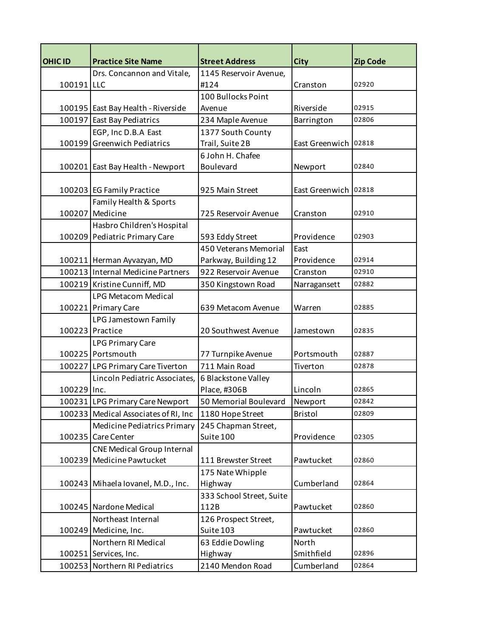| <b>OHIC ID</b> | <b>Practice Site Name</b>            | <b>Street Address</b>    | <b>City</b>          | <b>Zip Code</b> |
|----------------|--------------------------------------|--------------------------|----------------------|-----------------|
|                | Drs. Concannon and Vitale,           | 1145 Reservoir Avenue,   |                      |                 |
| 100191         | <b>LLC</b>                           | #124                     | Cranston             | 02920           |
|                |                                      | 100 Bullocks Point       |                      |                 |
|                | 100195 East Bay Health - Riverside   | Avenue                   | Riverside            | 02915           |
|                | 100197 East Bay Pediatrics           | 234 Maple Avenue         | Barrington           | 02806           |
|                | EGP, Inc D.B.A East                  | 1377 South County        |                      |                 |
|                | 100199 Greenwich Pediatrics          | Trail, Suite 2B          | East Greenwich 02818 |                 |
|                |                                      | 6 John H. Chafee         |                      |                 |
|                | 100201 East Bay Health - Newport     | Boulevard                | Newport              | 02840           |
|                |                                      |                          |                      |                 |
|                | 100203 EG Family Practice            | 925 Main Street          | East Greenwich 02818 |                 |
|                | Family Health & Sports               |                          |                      |                 |
|                | 100207 Medicine                      | 725 Reservoir Avenue     | Cranston             | 02910           |
|                | Hasbro Children's Hospital           |                          |                      |                 |
|                | 100209 Pediatric Primary Care        | 593 Eddy Street          | Providence           | 02903           |
|                |                                      | 450 Veterans Memorial    | East                 |                 |
|                | 100211 Herman Ayvazyan, MD           | Parkway, Building 12     | Providence           | 02914           |
|                | 100213 Internal Medicine Partners    | 922 Reservoir Avenue     | Cranston             | 02910           |
|                | 100219 Kristine Cunniff, MD          | 350 Kingstown Road       | Narragansett         | 02882           |
|                | <b>LPG Metacom Medical</b>           |                          |                      |                 |
|                | 100221 Primary Care                  | 639 Metacom Avenue       | Warren               | 02885           |
|                | LPG Jamestown Family                 |                          |                      |                 |
|                | 100223 Practice                      | 20 Southwest Avenue      | Jamestown            | 02835           |
|                | <b>LPG Primary Care</b>              |                          |                      |                 |
|                | 100225 Portsmouth                    | 77 Turnpike Avenue       | Portsmouth           | 02887           |
|                | 100227 LPG Primary Care Tiverton     | 711 Main Road            | Tiverton             | 02878           |
|                | Lincoln Pediatric Associates,        | 6 Blackstone Valley      |                      |                 |
| 100229 Inc.    |                                      | Place, #306B             | Lincoln              | 02865           |
|                | 100231 LPG Primary Care Newport      | 50 Memorial Boulevard    | Newport              | 02842           |
|                | 100233 Medical Associates of RI, Inc | 1180 Hope Street         | <b>Bristol</b>       | 02809           |
|                | Medicine Pediatrics Primary          | 245 Chapman Street,      |                      |                 |
|                | 100235 Care Center                   | Suite 100                | Providence           | 02305           |
|                | <b>CNE Medical Group Internal</b>    |                          |                      |                 |
|                | 100239 Medicine Pawtucket            | 111 Brewster Street      | Pawtucket            | 02860           |
|                |                                      | 175 Nate Whipple         |                      |                 |
|                | 100243 Mihaela Iovanel, M.D., Inc.   | Highway                  | Cumberland           | 02864           |
|                |                                      | 333 School Street, Suite |                      |                 |
|                | 100245 Nardone Medical               | 112B                     | Pawtucket            | 02860           |
|                | Northeast Internal                   | 126 Prospect Street,     |                      |                 |
|                | 100249 Medicine, Inc.                | Suite 103                | Pawtucket            | 02860           |
|                | Northern RI Medical                  | 63 Eddie Dowling         | North                |                 |
|                | 100251 Services, Inc.                | Highway                  | Smithfield           | 02896           |
|                | 100253 Northern RI Pediatrics        | 2140 Mendon Road         | Cumberland           | 02864           |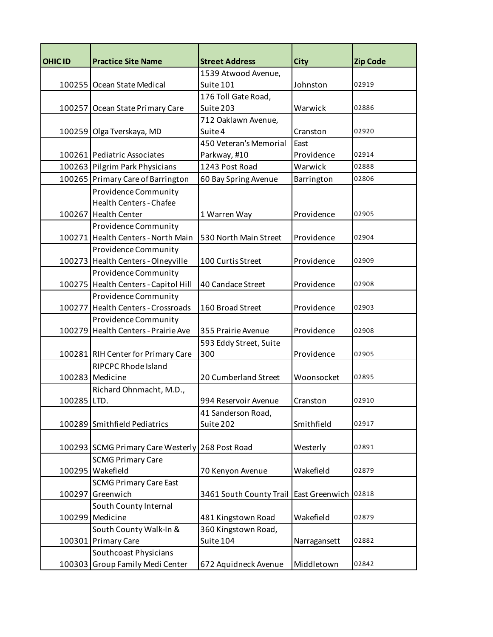| <b>OHIC ID</b> | <b>Practice Site Name</b>                       | <b>Street Address</b>   | <b>City</b>    | <b>Zip Code</b> |
|----------------|-------------------------------------------------|-------------------------|----------------|-----------------|
|                |                                                 | 1539 Atwood Avenue,     |                |                 |
|                | 100255 Ocean State Medical                      | Suite 101               | Johnston       | 02919           |
|                |                                                 | 176 Toll Gate Road,     |                |                 |
|                | 100257 Ocean State Primary Care                 | Suite 203               | Warwick        | 02886           |
|                |                                                 | 712 Oaklawn Avenue,     |                |                 |
|                | 100259 Olga Tverskaya, MD                       | Suite 4                 | Cranston       | 02920           |
|                |                                                 | 450 Veteran's Memorial  | East           |                 |
|                | 100261 Pediatric Associates                     | Parkway, #10            | Providence     | 02914           |
|                | 100263 Pilgrim Park Physicians                  | 1243 Post Road          | Warwick        | 02888           |
|                | 100265 Primary Care of Barrington               | 60 Bay Spring Avenue    | Barrington     | 02806           |
|                | <b>Providence Community</b>                     |                         |                |                 |
|                | <b>Health Centers - Chafee</b>                  |                         |                |                 |
|                | 100267 Health Center                            | 1 Warren Way            | Providence     | 02905           |
|                | Providence Community                            |                         |                |                 |
|                | 100271 Health Centers - North Main              | 530 North Main Street   | Providence     | 02904           |
|                | Providence Community                            |                         |                |                 |
|                | 100273 Health Centers - Olneyville              | 100 Curtis Street       | Providence     | 02909           |
|                | <b>Providence Community</b>                     |                         |                |                 |
|                | 100275 Health Centers - Capitol Hill            | 40 Candace Street       | Providence     | 02908           |
|                | <b>Providence Community</b>                     |                         |                |                 |
|                | 100277 Health Centers - Crossroads              | 160 Broad Street        | Providence     | 02903           |
|                | Providence Community                            |                         |                |                 |
|                | 100279 Health Centers - Prairie Ave             | 355 Prairie Avenue      | Providence     | 02908           |
|                |                                                 | 593 Eddy Street, Suite  |                |                 |
|                | 100281 RIH Center for Primary Care              | 300                     | Providence     | 02905           |
|                | <b>RIPCPC Rhode Island</b>                      |                         |                |                 |
|                | 100283 Medicine                                 | 20 Cumberland Street    | Woonsocket     | 02895           |
|                | Richard Ohnmacht, M.D.,                         |                         |                |                 |
| 100285 LTD.    |                                                 | 994 Reservoir Avenue    | Cranston       | 02910           |
|                |                                                 | 41 Sanderson Road,      |                |                 |
|                | 100289 Smithfield Pediatrics                    | Suite 202               | Smithfield     | 02917           |
|                |                                                 |                         |                |                 |
|                | 100293 SCMG Primary Care Westerly 268 Post Road |                         | Westerly       | 02891           |
|                | <b>SCMG Primary Care</b>                        |                         |                |                 |
|                | 100295 Wakefield                                | 70 Kenyon Avenue        | Wakefield      | 02879           |
|                | <b>SCMG Primary Care East</b>                   |                         |                |                 |
|                | 100297 Greenwich                                | 3461 South County Trail | East Greenwich | 02818           |
|                | South County Internal                           |                         |                |                 |
|                | 100299 Medicine                                 | 481 Kingstown Road      | Wakefield      | 02879           |
|                | South County Walk-In &                          | 360 Kingstown Road,     |                |                 |
|                | 100301 Primary Care                             | Suite 104               | Narragansett   | 02882           |
|                | Southcoast Physicians                           |                         |                |                 |
|                | 100303 Group Family Medi Center                 | 672 Aquidneck Avenue    | Middletown     | 02842           |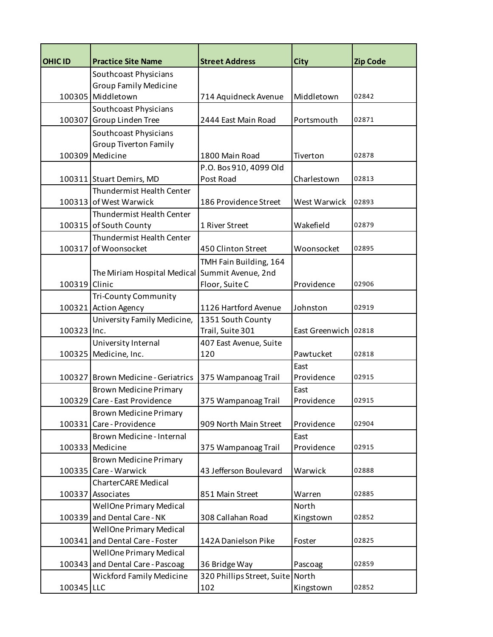| <b>OHIC ID</b> | <b>Practice Site Name</b>             | <b>Street Address</b>         | <b>City</b>          | <b>Zip Code</b> |
|----------------|---------------------------------------|-------------------------------|----------------------|-----------------|
|                | Southcoast Physicians                 |                               |                      |                 |
|                | <b>Group Family Medicine</b>          |                               |                      |                 |
|                | 100305 Middletown                     | 714 Aquidneck Avenue          | Middletown           | 02842           |
|                | Southcoast Physicians                 |                               |                      |                 |
| 100307         | Group Linden Tree                     | 2444 East Main Road           | Portsmouth           | 02871           |
|                | Southcoast Physicians                 |                               |                      |                 |
|                | <b>Group Tiverton Family</b>          |                               |                      |                 |
| 100309         | Medicine                              | 1800 Main Road                | Tiverton             | 02878           |
|                |                                       | P.O. Bos 910, 4099 Old        |                      |                 |
|                | 100311 Stuart Demirs, MD              | Post Road                     | Charlestown          | 02813           |
|                | Thundermist Health Center             |                               |                      |                 |
|                | 100313 of West Warwick                | 186 Providence Street         | West Warwick         | 02893           |
|                | Thundermist Health Center             |                               |                      |                 |
|                | 100315 of South County                | 1 River Street                | Wakefield            | 02879           |
|                | Thundermist Health Center             |                               |                      |                 |
| 100317         | of Woonsocket                         | 450 Clinton Street            | Woonsocket           | 02895           |
|                |                                       | TMH Fain Building, 164        |                      |                 |
|                | The Miriam Hospital Medical           | Summit Avenue, 2nd            |                      |                 |
| 100319 Clinic  |                                       | Floor, Suite C                | Providence           | 02906           |
|                | <b>Tri-County Community</b>           |                               |                      |                 |
|                | 100321 Action Agency                  | 1126 Hartford Avenue          | Johnston             | 02919           |
|                | University Family Medicine,           | 1351 South County             |                      |                 |
| 100323 Inc.    |                                       | Trail, Suite 301              | East Greenwich 02818 |                 |
| 100325         | University Internal<br>Medicine, Inc. | 407 East Avenue, Suite<br>120 | Pawtucket            | 02818           |
|                |                                       |                               | East                 |                 |
|                | 100327 Brown Medicine - Geriatrics    | 375 Wampanoag Trail           | Providence           | 02915           |
|                | <b>Brown Medicine Primary</b>         |                               | East                 |                 |
|                | 100329 Care - East Providence         | 375 Wampanoag Trail           | Providence           | 02915           |
|                | <b>Brown Medicine Primary</b>         |                               |                      |                 |
| 100331         | Care - Providence                     | 909 North Main Street         | Providence           | 02904           |
|                | Brown Medicine - Internal             |                               | East                 |                 |
|                | 100333 Medicine                       | 375 Wampanoag Trail           | Providence           | 02915           |
|                | <b>Brown Medicine Primary</b>         |                               |                      |                 |
|                | 100335 Care - Warwick                 | 43 Jefferson Boulevard        | Warwick              | 02888           |
|                | <b>CharterCARE Medical</b>            |                               |                      |                 |
|                | 100337 Associates                     | 851 Main Street               | Warren               | 02885           |
|                | <b>WellOne Primary Medical</b>        |                               | North                |                 |
| 100339         | and Dental Care - NK                  | 308 Callahan Road             | Kingstown            | 02852           |
|                | <b>WellOne Primary Medical</b>        |                               |                      |                 |
| 100341         | and Dental Care - Foster              | 142A Danielson Pike           | Foster               | 02825           |
|                | <b>WellOne Primary Medical</b>        |                               |                      |                 |
| 100343         | and Dental Care - Pascoag             | 36 Bridge Way                 | Pascoag              | 02859           |
|                | <b>Wickford Family Medicine</b>       | 320 Phillips Street, Suite    | North                |                 |
| 100345 LLC     |                                       | 102                           | Kingstown            | 02852           |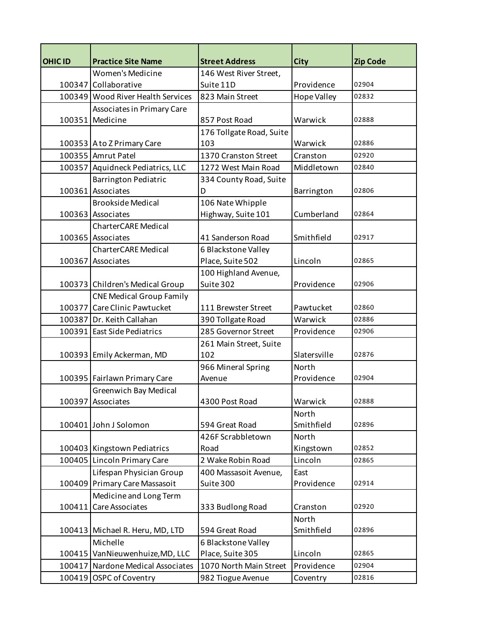| <b>OHIC ID</b> | <b>Practice Site Name</b>         | <b>Street Address</b>    | <b>City</b>        | <b>Zip Code</b> |
|----------------|-----------------------------------|--------------------------|--------------------|-----------------|
|                | Women's Medicine                  | 146 West River Street,   |                    |                 |
|                | 100347 Collaborative              | Suite 11D                | Providence         | 02904           |
|                | 100349 Wood River Health Services | 823 Main Street          | <b>Hope Valley</b> | 02832           |
|                | <b>Associates in Primary Care</b> |                          |                    |                 |
|                | 100351 Medicine                   | 857 Post Road            | Warwick            | 02888           |
|                |                                   | 176 Tollgate Road, Suite |                    |                 |
|                | 100353 A to Z Primary Care        | 103                      | Warwick            | 02886           |
|                | 100355 Amrut Patel                | 1370 Cranston Street     | Cranston           | 02920           |
|                | 100357 Aquidneck Pediatrics, LLC  | 1272 West Main Road      | Middletown         | 02840           |
|                | <b>Barrington Pediatric</b>       | 334 County Road, Suite   |                    |                 |
|                | 100361 Associates                 | D                        | Barrington         | 02806           |
|                | <b>Brookside Medical</b>          | 106 Nate Whipple         |                    |                 |
|                | 100363 Associates                 | Highway, Suite 101       | Cumberland         | 02864           |
|                | <b>CharterCARE Medical</b>        |                          |                    |                 |
|                | 100365 Associates                 | 41 Sanderson Road        | Smithfield         | 02917           |
|                | <b>CharterCARE Medical</b>        | 6 Blackstone Valley      |                    |                 |
|                | 100367 Associates                 | Place, Suite 502         | Lincoln            | 02865           |
|                |                                   | 100 Highland Avenue,     |                    |                 |
|                | 100373 Children's Medical Group   | Suite 302                | Providence         | 02906           |
|                | <b>CNE Medical Group Family</b>   |                          |                    |                 |
|                | 100377 Care Clinic Pawtucket      | 111 Brewster Street      | Pawtucket          | 02860           |
|                | 100387 Dr. Keith Callahan         | 390 Tollgate Road        | Warwick            | 02886           |
|                | 100391 East Side Pediatrics       | 285 Governor Street      | Providence         | 02906           |
|                |                                   | 261 Main Street, Suite   |                    |                 |
|                | 100393 Emily Ackerman, MD         | 102                      | Slatersville       | 02876           |
|                |                                   | 966 Mineral Spring       | North              |                 |
|                | 100395 Fairlawn Primary Care      | Avenue                   | Providence         | 02904           |
|                | <b>Greenwich Bay Medical</b>      |                          |                    |                 |
|                | 100397 Associates                 | 4300 Post Road           | Warwick            | 02888           |
|                |                                   |                          | North              |                 |
|                | 100401 John J Solomon             | 594 Great Road           | Smithfield         | 02896           |
|                |                                   | 426F Scrabbletown        | <b>North</b>       |                 |
|                | 100403 Kingstown Pediatrics       | Road                     | Kingstown          | 02852           |
|                | 100405 Lincoln Primary Care       | 2 Wake Robin Road        | Lincoln            | 02865           |
|                | Lifespan Physician Group          | 400 Massasoit Avenue,    | East               |                 |
|                | 100409 Primary Care Massasoit     | Suite 300                | Providence         | 02914           |
|                | Medicine and Long Term            |                          |                    |                 |
| 100411         | Care Associates                   | 333 Budlong Road         | Cranston           | 02920           |
|                |                                   |                          | North              |                 |
|                | 100413 Michael R. Heru, MD, LTD   | 594 Great Road           | Smithfield         | 02896           |
|                | Michelle                          | 6 Blackstone Valley      |                    |                 |
|                | 100415 VanNieuwenhuize, MD, LLC   | Place, Suite 305         | Lincoln            | 02865           |
|                | 100417 Nardone Medical Associates | 1070 North Main Street   | Providence         | 02904           |
|                | 100419 OSPC of Coventry           | 982 Tiogue Avenue        | Coventry           | 02816           |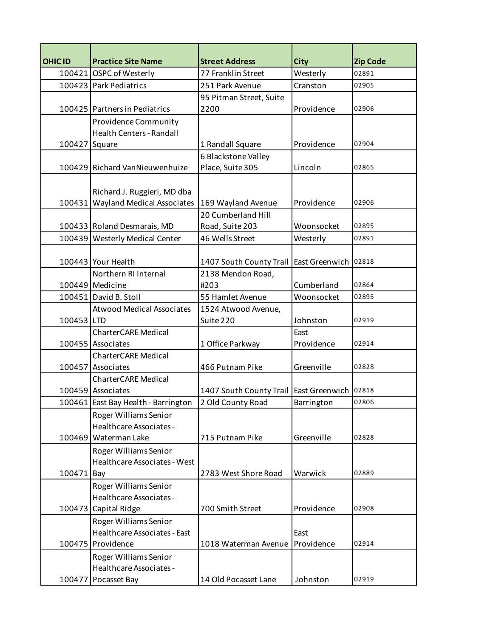| <b>OHIC ID</b> | <b>Practice Site Name</b>           | <b>Street Address</b>           | <b>City</b>          | <b>Zip Code</b> |
|----------------|-------------------------------------|---------------------------------|----------------------|-----------------|
|                | 100421 OSPC of Westerly             | 77 Franklin Street              | Westerly             | 02891           |
|                | 100423 Park Pediatrics              | 251 Park Avenue                 | Cranston             | 02905           |
|                |                                     | 95 Pitman Street, Suite         |                      |                 |
|                | 100425 Partners in Pediatrics       | 2200                            | Providence           | 02906           |
|                | Providence Community                |                                 |                      |                 |
|                | Health Centers - Randall            |                                 |                      |                 |
| 100427 Square  |                                     | 1 Randall Square                | Providence           | 02904           |
|                |                                     | 6 Blackstone Valley             |                      |                 |
|                | 100429 Richard VanNieuwenhuize      | Place, Suite 305                | Lincoln              | 02865           |
|                |                                     |                                 |                      |                 |
|                | Richard J. Ruggieri, MD dba         |                                 |                      |                 |
|                | 100431 Wayland Medical Associates   | 169 Wayland Avenue              | Providence           | 02906           |
|                |                                     | 20 Cumberland Hill              |                      |                 |
|                | 100433 Roland Desmarais, MD         | Road, Suite 203                 | Woonsocket           | 02895           |
|                | 100439 Westerly Medical Center      | 46 Wells Street                 | Westerly             | 02891           |
|                | 100443 Your Health                  | 1407 South County Trail         | East Greenwich 02818 |                 |
|                | Northern RI Internal                | 2138 Mendon Road,               |                      |                 |
|                | 100449 Medicine                     | #203                            | Cumberland           | 02864           |
|                | 100451 David B. Stoll               | 55 Hamlet Avenue                | Woonsocket           | 02895           |
|                | <b>Atwood Medical Associates</b>    | 1524 Atwood Avenue,             |                      |                 |
| 100453 LTD     |                                     | Suite 220                       | Johnston             | 02919           |
|                | <b>CharterCARE Medical</b>          |                                 | East                 |                 |
|                | 100455 Associates                   | 1 Office Parkway                | Providence           | 02914           |
|                | <b>CharterCARE Medical</b>          |                                 |                      |                 |
|                | 100457 Associates                   | 466 Putnam Pike                 | Greenville           | 02828           |
|                | <b>CharterCARE Medical</b>          |                                 |                      |                 |
|                | 100459 Associates                   | 1407 South County Trail         | East Greenwich       | 02818           |
|                | 100461 East Bay Health - Barrington | 2 Old County Road               | Barrington           | 02806           |
|                | Roger Williams Senior               |                                 |                      |                 |
|                | Healthcare Associates -             |                                 |                      |                 |
|                | 100469 Waterman Lake                | 715 Putnam Pike                 | Greenville           | 02828           |
|                | Roger Williams Senior               |                                 |                      |                 |
|                | Healthcare Associates - West        |                                 |                      |                 |
| 100471 Bay     |                                     | 2783 West Shore Road            | Warwick              | 02889           |
|                | Roger Williams Senior               |                                 |                      |                 |
|                | Healthcare Associates -             |                                 |                      |                 |
|                | 100473 Capital Ridge                | 700 Smith Street                | Providence           | 02908           |
|                | Roger Williams Senior               |                                 |                      |                 |
|                | <b>Healthcare Associates - East</b> |                                 | East                 |                 |
|                | 100475 Providence                   | 1018 Waterman Avenue Providence |                      | 02914           |
|                | Roger Williams Senior               |                                 |                      |                 |
|                | Healthcare Associates -             |                                 |                      |                 |
|                | 100477 Pocasset Bay                 | 14 Old Pocasset Lane            | Johnston             | 02919           |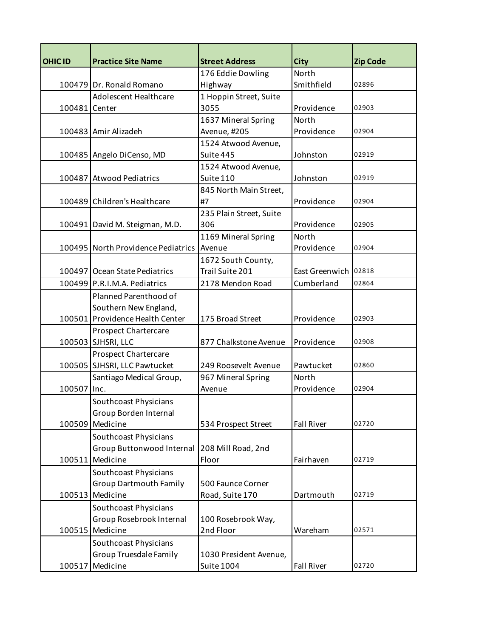| <b>OHIC ID</b> | <b>Practice Site Name</b>                 | <b>Street Address</b>   | <b>City</b>          | <b>Zip Code</b> |
|----------------|-------------------------------------------|-------------------------|----------------------|-----------------|
|                |                                           | 176 Eddie Dowling       | North                |                 |
|                | 100479 Dr. Ronald Romano                  | Highway                 | Smithfield           | 02896           |
|                | <b>Adolescent Healthcare</b>              | 1 Hoppin Street, Suite  |                      |                 |
| 100481 Center  |                                           | 3055                    | Providence           | 02903           |
|                |                                           | 1637 Mineral Spring     | North                |                 |
|                | 100483 Amir Alizadeh                      | Avenue, #205            | Providence           | 02904           |
|                |                                           | 1524 Atwood Avenue,     |                      |                 |
|                | 100485 Angelo DiCenso, MD                 | Suite 445               | Johnston             | 02919           |
|                |                                           | 1524 Atwood Avenue,     |                      |                 |
|                | 100487 Atwood Pediatrics                  | Suite 110               | Johnston             | 02919           |
|                |                                           | 845 North Main Street,  |                      |                 |
|                | 100489 Children's Healthcare              | #7                      | Providence           | 02904           |
|                |                                           | 235 Plain Street, Suite |                      |                 |
|                | 100491 David M. Steigman, M.D.            | 306                     | Providence           | 02905           |
|                |                                           | 1169 Mineral Spring     | <b>North</b>         |                 |
|                | 100495 North Providence Pediatrics Avenue |                         | Providence           | 02904           |
|                |                                           | 1672 South County,      |                      |                 |
|                | 100497 Ocean State Pediatrics             | Trail Suite 201         | East Greenwich 02818 |                 |
|                | 100499 P.R.I.M.A. Pediatrics              | 2178 Mendon Road        | Cumberland           | 02864           |
|                | Planned Parenthood of                     |                         |                      |                 |
|                | Southern New England,                     |                         |                      |                 |
|                | 100501 Providence Health Center           | 175 Broad Street        | Providence           | 02903           |
|                | <b>Prospect Chartercare</b>               |                         |                      |                 |
|                | 100503 SJHSRI, LLC                        | 877 Chalkstone Avenue   | Providence           | 02908           |
|                | <b>Prospect Chartercare</b>               |                         |                      |                 |
|                | 100505 SJHSRI, LLC Pawtucket              | 249 Roosevelt Avenue    | Pawtucket            | 02860           |
|                | Santiago Medical Group,                   | 967 Mineral Spring      | North                |                 |
| 100507         | Inc.                                      | Avenue                  | Providence           | 02904           |
|                | Southcoast Physicians                     |                         |                      |                 |
|                | Group Borden Internal                     |                         |                      |                 |
|                | 100509 Medicine                           | 534 Prospect Street     | <b>Fall River</b>    | 02720           |
|                | Southcoast Physicians                     |                         |                      |                 |
|                | Group Buttonwood Internal                 | 208 Mill Road, 2nd      |                      |                 |
| 100511         | Medicine                                  | Floor                   | Fairhaven            | 02719           |
|                | Southcoast Physicians                     |                         |                      |                 |
|                | <b>Group Dartmouth Family</b>             | 500 Faunce Corner       |                      |                 |
| 100513         | Medicine                                  | Road, Suite 170         | Dartmouth            | 02719           |
|                | Southcoast Physicians                     |                         |                      |                 |
|                | Group Rosebrook Internal                  | 100 Rosebrook Way,      |                      |                 |
|                | 100515 Medicine                           | 2nd Floor               | Wareham              | 02571           |
|                | Southcoast Physicians                     |                         |                      |                 |
|                | <b>Group Truesdale Family</b>             | 1030 President Avenue,  |                      |                 |
| 100517         | Medicine                                  | <b>Suite 1004</b>       | <b>Fall River</b>    | 02720           |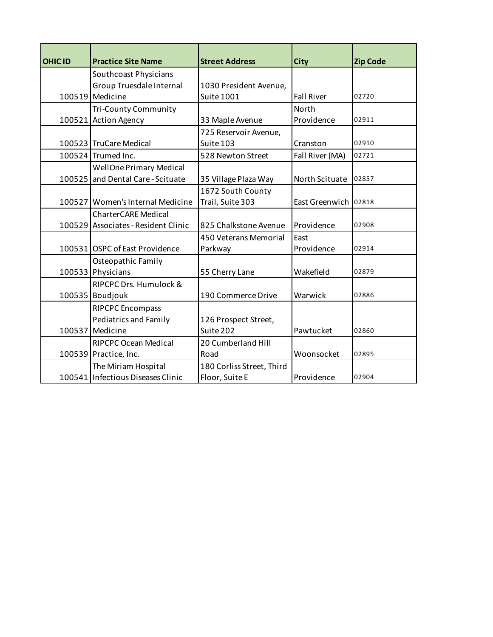| OHIC ID | <b>Practice Site Name</b>           | <b>Street Address</b>     | <b>City</b>          | <b>Zip Code</b> |
|---------|-------------------------------------|---------------------------|----------------------|-----------------|
|         | Southcoast Physicians               |                           |                      |                 |
|         | Group Truesdale Internal            | 1030 President Avenue,    |                      |                 |
|         | 100519 Medicine                     | Suite 1001                | <b>Fall River</b>    | 02720           |
|         | <b>Tri-County Community</b>         |                           | North                |                 |
|         | 100521 Action Agency                | 33 Maple Avenue           | Providence           | 02911           |
|         |                                     | 725 Reservoir Avenue,     |                      |                 |
|         | 100523 TruCare Medical              | Suite 103                 | Cranston             | 02910           |
|         | 100524 Trumed Inc.                  | 528 Newton Street         | Fall River (MA)      | 02721           |
|         | <b>WellOne Primary Medical</b>      |                           |                      |                 |
| 100525  | and Dental Care - Scituate          | 35 Village Plaza Way      | North Scituate       | 02857           |
|         |                                     | 1672 South County         |                      |                 |
|         | 100527 Women's Internal Medicine    | Trail, Suite 303          | East Greenwich 02818 |                 |
|         | <b>CharterCARE Medical</b>          |                           |                      |                 |
|         | 100529 Associates - Resident Clinic | 825 Chalkstone Avenue     | Providence           | 02908           |
|         |                                     | 450 Veterans Memorial     | East                 |                 |
|         | 100531 OSPC of East Providence      | Parkway                   | Providence           | 02914           |
|         | Osteopathic Family                  |                           |                      |                 |
|         | 100533 Physicians                   | 55 Cherry Lane            | Wakefield            | 02879           |
|         | RIPCPC Drs. Humulock &              |                           |                      |                 |
|         | 100535 Boudjouk                     | 190 Commerce Drive        | Warwick              | 02886           |
|         | <b>RIPCPC Encompass</b>             |                           |                      |                 |
|         | <b>Pediatrics and Family</b>        | 126 Prospect Street,      |                      |                 |
|         | 100537 Medicine                     | Suite 202                 | Pawtucket            | 02860           |
|         | <b>RIPCPC Ocean Medical</b>         | 20 Cumberland Hill        |                      |                 |
|         | 100539 Practice, Inc.               | Road                      | Woonsocket           | 02895           |
|         | The Miriam Hospital                 | 180 Corliss Street, Third |                      |                 |
|         | 100541 Infectious Diseases Clinic   | Floor, Suite E            | Providence           | 02904           |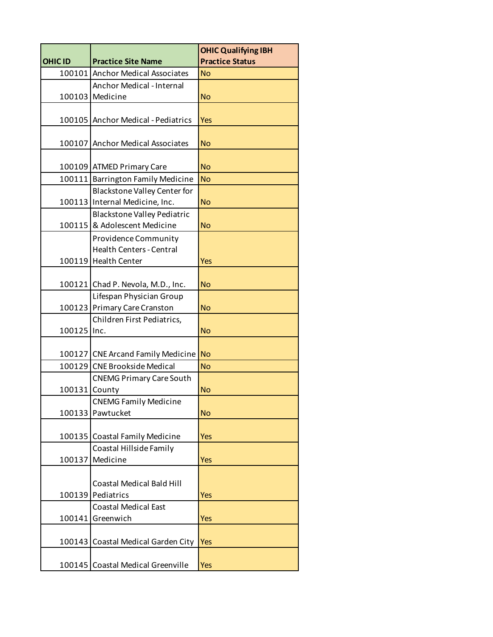|                |                                     | <b>OHIC Qualifying IBH</b> |
|----------------|-------------------------------------|----------------------------|
| <b>OHIC ID</b> | <b>Practice Site Name</b>           | <b>Practice Status</b>     |
|                | 100101 Anchor Medical Associates    | <b>No</b>                  |
|                | <b>Anchor Medical - Internal</b>    |                            |
|                | 100103 Medicine                     | <b>No</b>                  |
|                |                                     |                            |
|                | 100105 Anchor Medical - Pediatrics  | <b>Yes</b>                 |
|                |                                     |                            |
| 100107         | <b>Anchor Medical Associates</b>    | <b>No</b>                  |
|                |                                     |                            |
|                | 100109 ATMED Primary Care           | <b>No</b>                  |
|                | 100111 Barrington Family Medicine   | <b>No</b>                  |
|                | <b>Blackstone Valley Center for</b> |                            |
|                | 100113 Internal Medicine, Inc.      | <b>No</b>                  |
|                | <b>Blackstone Valley Pediatric</b>  |                            |
|                | 100115 & Adolescent Medicine        | <b>No</b>                  |
|                | <b>Providence Community</b>         |                            |
|                | <b>Health Centers - Central</b>     |                            |
|                | 100119 Health Center                | Yes                        |
|                |                                     |                            |
|                | 100121 Chad P. Nevola, M.D., Inc.   | <b>No</b>                  |
|                | Lifespan Physician Group            |                            |
| 100123         | Primary Care Cranston               | <b>No</b>                  |
|                | Children First Pediatrics,          |                            |
| 100125         | Inc.                                | <b>No</b>                  |
|                | 100127 CNE Arcand Family Medicine   | <b>No</b>                  |
| 100129         | <b>CNE Brookside Medical</b>        | <b>No</b>                  |
|                | <b>CNEMG Primary Care South</b>     |                            |
| 100131         | County                              | <b>No</b>                  |
|                | <b>CNEMG Family Medicine</b>        |                            |
|                | 100133 Pawtucket                    | <b>No</b>                  |
|                |                                     |                            |
|                | 100135 Coastal Family Medicine      | <b>Yes</b>                 |
|                | Coastal Hillside Family             |                            |
| 100137         | Medicine                            | <b>Yes</b>                 |
|                |                                     |                            |
|                | <b>Coastal Medical Bald Hill</b>    |                            |
| 100139         | Pediatrics                          | Yes                        |
|                | <b>Coastal Medical East</b>         |                            |
| 100141         | Greenwich                           | <b>Yes</b>                 |
|                |                                     |                            |
| 100143         | <b>Coastal Medical Garden City</b>  | <b>Yes</b>                 |
|                |                                     |                            |
| 100145         | <b>Coastal Medical Greenville</b>   | <b>Yes</b>                 |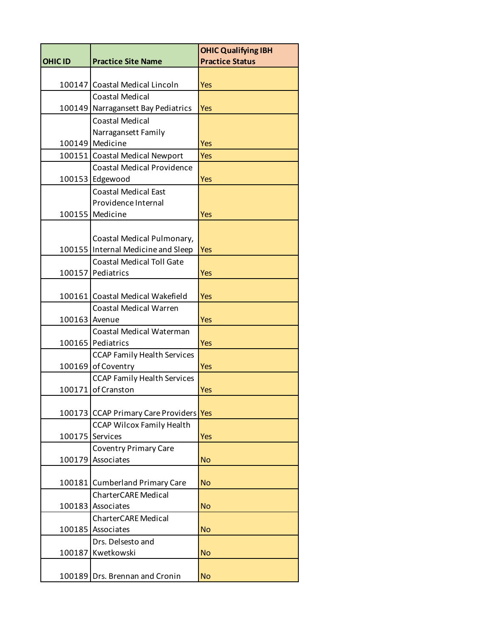|                |                                                                        | <b>OHIC Qualifying IBH</b> |
|----------------|------------------------------------------------------------------------|----------------------------|
| <b>OHIC ID</b> | <b>Practice Site Name</b>                                              | <b>Practice Status</b>     |
|                |                                                                        |                            |
| 100147         | Coastal Medical Lincoln                                                | <b>Yes</b>                 |
|                | <b>Coastal Medical</b>                                                 |                            |
| 100149         | Narragansett Bay Pediatrics                                            | <b>Yes</b>                 |
|                | <b>Coastal Medical</b>                                                 |                            |
|                | Narragansett Family                                                    |                            |
| 100149         | Medicine                                                               | <b>Yes</b>                 |
|                | 100151 Coastal Medical Newport<br><b>Coastal Medical Providence</b>    | <b>Yes</b>                 |
|                | 100153 Edgewood                                                        | <b>Yes</b>                 |
|                | <b>Coastal Medical East</b>                                            |                            |
|                | Providence Internal                                                    |                            |
| 100155         | Medicine                                                               | Yes                        |
|                |                                                                        |                            |
|                | Coastal Medical Pulmonary,                                             |                            |
| 100155         | Internal Medicine and Sleep                                            | Yes                        |
|                | <b>Coastal Medical Toll Gate</b>                                       |                            |
| 100157         | Pediatrics                                                             | <b>Yes</b>                 |
|                |                                                                        |                            |
|                | 100161 Coastal Medical Wakefield                                       | Yes                        |
|                | <b>Coastal Medical Warren</b>                                          |                            |
| 100163 Avenue  |                                                                        | <b>Yes</b>                 |
|                | <b>Coastal Medical Waterman</b>                                        |                            |
|                | 100165 Pediatrics                                                      | <b>Yes</b>                 |
|                | <b>CCAP Family Health Services</b>                                     |                            |
| 100169         | of Coventry                                                            | <b>Yes</b>                 |
|                | <b>CCAP Family Health Services</b>                                     |                            |
| 100171         | of Cranston                                                            | Yes                        |
|                |                                                                        |                            |
|                | 100173 CCAP Primary Care Providers<br><b>CCAP Wilcox Family Health</b> | Yes                        |
| 100175         | Services                                                               | Yes                        |
|                | Coventry Primary Care                                                  |                            |
| 100179         | Associates                                                             | <b>No</b>                  |
|                |                                                                        |                            |
|                | 100181 Cumberland Primary Care                                         | <b>No</b>                  |
|                | <b>CharterCARE Medical</b>                                             |                            |
| 100183         | Associates                                                             | <b>No</b>                  |
|                | <b>CharterCARE Medical</b>                                             |                            |
| 100185         | Associates                                                             | <b>No</b>                  |
|                | Drs. Delsesto and                                                      |                            |
| 100187         | Kwetkowski                                                             | <b>No</b>                  |
|                |                                                                        |                            |
| 100189         | Drs. Brennan and Cronin                                                | <b>No</b>                  |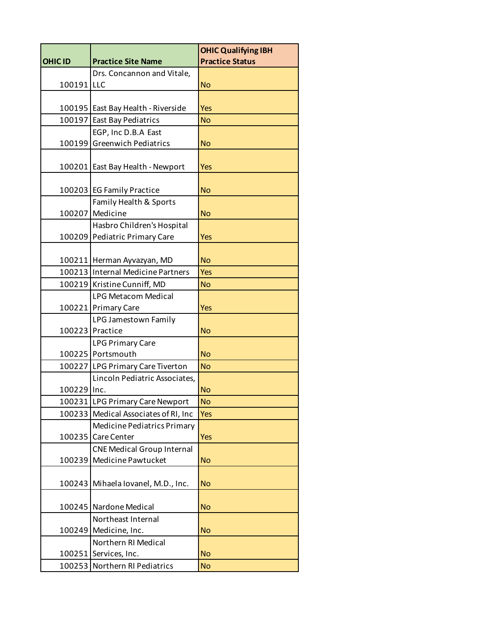|                |                                   | <b>OHIC Qualifying IBH</b> |
|----------------|-----------------------------------|----------------------------|
| <b>OHIC ID</b> | <b>Practice Site Name</b>         | <b>Practice Status</b>     |
|                | Drs. Concannon and Vitale,        |                            |
| 100191         | LLC                               | <b>No</b>                  |
|                |                                   |                            |
| 100195         | East Bay Health - Riverside       | Yes                        |
| 100197         | <b>East Bay Pediatrics</b>        | <b>No</b>                  |
|                | EGP, Inc D.B.A East               |                            |
| 100199         | <b>Greenwich Pediatrics</b>       | <b>No</b>                  |
|                |                                   |                            |
| 100201         | East Bay Health - Newport         | Yes                        |
|                |                                   |                            |
|                | 100203 EG Family Practice         | <b>No</b>                  |
|                | Family Health & Sports            |                            |
| 100207         | Medicine                          | <b>No</b>                  |
|                | Hasbro Children's Hospital        |                            |
| 100209         | Pediatric Primary Care            | Yes                        |
|                |                                   |                            |
|                | 100211 Herman Ayvazyan, MD        | <b>No</b>                  |
| 100213         | Internal Medicine Partners        | Yes                        |
| 100219         | Kristine Cunniff, MD              | <b>No</b>                  |
|                | LPG Metacom Medical               |                            |
| 100221         | <b>Primary Care</b>               | <b>Yes</b>                 |
|                | LPG Jamestown Family              |                            |
| 100223         | Practice                          | <b>No</b>                  |
|                | <b>LPG Primary Care</b>           |                            |
| 100225         | Portsmouth                        | <b>No</b>                  |
| 100227         | LPG Primary Care Tiverton         | <b>No</b>                  |
|                | Lincoln Pediatric Associates,     |                            |
| 100229         | Inc.                              | <b>No</b>                  |
|                | 100231 LPG Primary Care Newport   | No                         |
| 100233         | Medical Associates of RI, Inc     | Yes                        |
|                | Medicine Pediatrics Primary       |                            |
| 100235         | Care Center                       | <b>Yes</b>                 |
|                | <b>CNE Medical Group Internal</b> |                            |
| 100239         | Medicine Pawtucket                | <b>No</b>                  |
|                |                                   |                            |
| 100243         | Mihaela Iovanel, M.D., Inc.       | <b>No</b>                  |
|                |                                   |                            |
| 100245         | Nardone Medical                   | <b>No</b>                  |
|                | Northeast Internal                |                            |
| 100249         | Medicine, Inc.                    | <b>No</b>                  |
|                | Northern RI Medical               |                            |
| 100251         | Services, Inc.                    | <b>No</b>                  |
| 100253         | Northern RI Pediatrics            | <b>No</b>                  |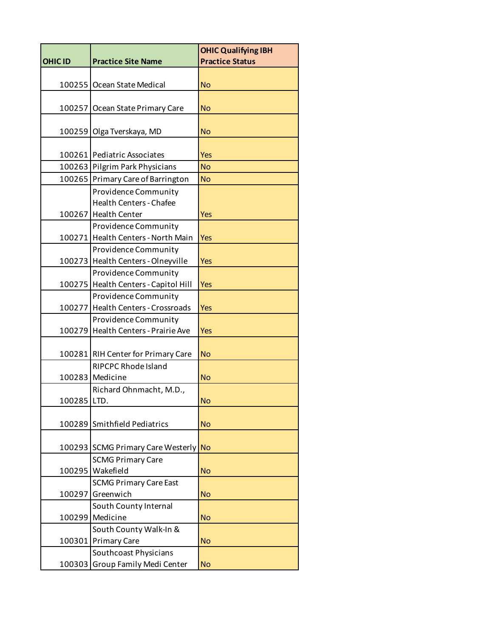|                |                                      | <b>OHIC Qualifying IBH</b> |
|----------------|--------------------------------------|----------------------------|
| <b>OHIC ID</b> | <b>Practice Site Name</b>            | <b>Practice Status</b>     |
|                |                                      |                            |
| 100255         | Ocean State Medical                  | <b>No</b>                  |
|                |                                      |                            |
| 100257         | Ocean State Primary Care             | <b>No</b>                  |
|                |                                      |                            |
| 100259         | Olga Tverskaya, MD                   | <b>No</b>                  |
|                |                                      |                            |
|                | 100261 Pediatric Associates          | Yes                        |
|                | 100263 Pilgrim Park Physicians       | <b>No</b>                  |
|                | 100265 Primary Care of Barrington    | <b>No</b>                  |
|                | Providence Community                 |                            |
|                | <b>Health Centers - Chafee</b>       |                            |
| 100267         | <b>Health Center</b>                 | <b>Yes</b>                 |
|                | Providence Community                 |                            |
|                | 100271 Health Centers - North Main   | <b>Yes</b>                 |
|                | Providence Community                 |                            |
| 100273         | Health Centers - Olneyville          | Yes                        |
|                | Providence Community                 |                            |
|                | 100275 Health Centers - Capitol Hill | <b>Yes</b>                 |
|                | Providence Community                 |                            |
| 100277         | <b>Health Centers - Crossroads</b>   | <b>Yes</b>                 |
|                | Providence Community                 |                            |
| 100279         | Health Centers - Prairie Ave         | Yes                        |
|                |                                      |                            |
|                | 100281 RIH Center for Primary Care   | <b>No</b>                  |
|                | <b>RIPCPC Rhode Island</b>           |                            |
|                | 100283 Medicine                      | <b>No</b>                  |
|                | Richard Ohnmacht, M.D.,              |                            |
| 100285 LTD.    |                                      | <b>No</b>                  |
|                |                                      |                            |
| 100289         | Smithfield Pediatrics                | <b>No</b>                  |
|                |                                      |                            |
| 100293         | <b>SCMG Primary Care Westerly</b>    | <b>No</b>                  |
|                | <b>SCMG Primary Care</b>             |                            |
| 100295         | Wakefield                            | <b>No</b>                  |
|                | <b>SCMG Primary Care East</b>        |                            |
| 100297         | Greenwich                            | <b>No</b>                  |
|                | South County Internal                |                            |
|                | 100299 Medicine                      | <b>No</b>                  |
|                | South County Walk-In &               |                            |
|                | 100301 Primary Care                  | <b>No</b>                  |
|                | Southcoast Physicians                |                            |
| 100303         | Group Family Medi Center             | <b>No</b>                  |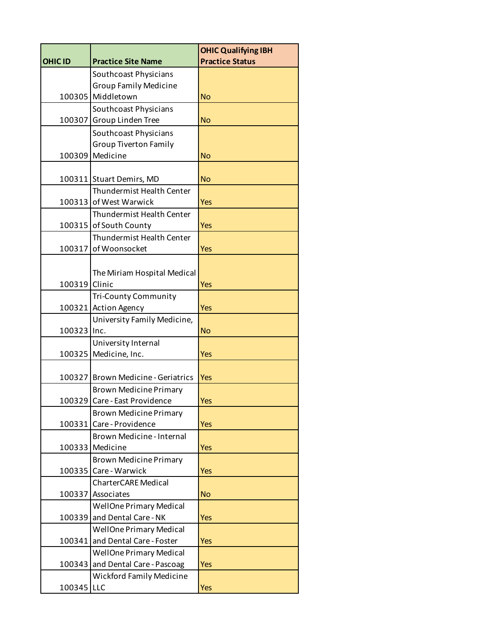|                |                                    | <b>OHIC Qualifying IBH</b> |
|----------------|------------------------------------|----------------------------|
| <b>OHIC ID</b> | <b>Practice Site Name</b>          | <b>Practice Status</b>     |
|                | Southcoast Physicians              |                            |
|                | <b>Group Family Medicine</b>       |                            |
|                | 100305 Middletown                  | <b>No</b>                  |
|                | Southcoast Physicians              |                            |
| 100307         | Group Linden Tree                  | <b>No</b>                  |
|                | Southcoast Physicians              |                            |
|                | <b>Group Tiverton Family</b>       |                            |
| 100309         | Medicine                           | <b>No</b>                  |
|                | 100311 Stuart Demirs, MD           | <b>No</b>                  |
|                | Thundermist Health Center          |                            |
| 100313         | of West Warwick                    | Yes                        |
|                | Thundermist Health Center          |                            |
|                | 100315 of South County             | <b>Yes</b>                 |
|                | <b>Thundermist Health Center</b>   |                            |
| 100317         | of Woonsocket                      | Yes                        |
|                |                                    |                            |
|                | The Miriam Hospital Medical        |                            |
| 100319         | Clinic                             | <b>Yes</b>                 |
|                | <b>Tri-County Community</b>        |                            |
|                | 100321 Action Agency               | Yes                        |
|                | University Family Medicine,        |                            |
| 100323 Inc.    |                                    | <b>No</b>                  |
|                | University Internal                |                            |
| 100325         | Medicine, Inc.                     | Yes                        |
| 100327         | <b>Brown Medicine - Geriatrics</b> | <b>Yes</b>                 |
|                | <b>Brown Medicine Primary</b>      |                            |
|                | 100329 Care - East Providence      | <b>Yes</b>                 |
|                | <b>Brown Medicine Primary</b>      |                            |
| 100331         | Care - Providence                  | <b>Yes</b>                 |
|                | Brown Medicine - Internal          |                            |
|                | 100333 Medicine                    | Yes                        |
|                | <b>Brown Medicine Primary</b>      |                            |
| 100335         | Care - Warwick                     | <b>Yes</b>                 |
|                | <b>CharterCARE Medical</b>         |                            |
|                | 100337 Associates                  | <b>No</b>                  |
|                | <b>WellOne Primary Medical</b>     |                            |
|                | 100339 and Dental Care - NK        | <b>Yes</b>                 |
|                | <b>WellOne Primary Medical</b>     |                            |
| 100341         | and Dental Care - Foster           | <b>Yes</b>                 |
|                | <b>WellOne Primary Medical</b>     |                            |
| 100343         | and Dental Care - Pascoag          | Yes                        |
|                | <b>Wickford Family Medicine</b>    |                            |
| 100345 LLC     |                                    | <b>Yes</b>                 |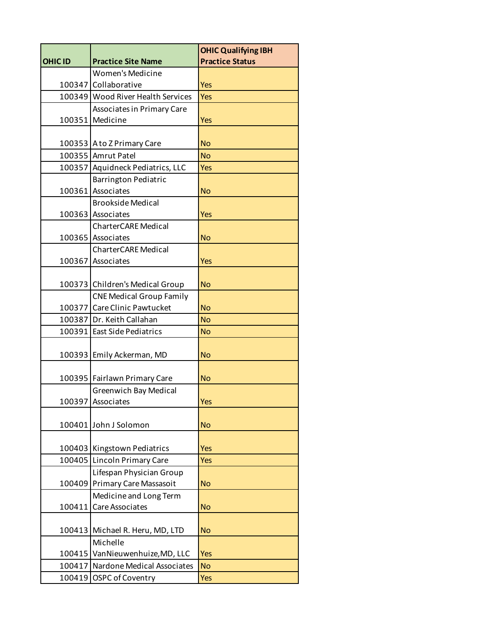|                |                                   | <b>OHIC Qualifying IBH</b> |
|----------------|-----------------------------------|----------------------------|
| <b>OHIC ID</b> | <b>Practice Site Name</b>         | <b>Practice Status</b>     |
|                | <b>Women's Medicine</b>           |                            |
|                | 100347 Collaborative              | <b>Yes</b>                 |
|                | 100349 Wood River Health Services | Yes                        |
|                | Associates in Primary Care        |                            |
|                | 100351 Medicine                   | <b>Yes</b>                 |
|                |                                   |                            |
|                | 100353 A to Z Primary Care        | <b>No</b>                  |
|                | 100355 Amrut Patel                | <b>No</b>                  |
|                | 100357 Aquidneck Pediatrics, LLC  | <b>Yes</b>                 |
|                | <b>Barrington Pediatric</b>       |                            |
|                | 100361 Associates                 | <b>No</b>                  |
|                | <b>Brookside Medical</b>          |                            |
|                | 100363 Associates                 | <b>Yes</b>                 |
|                | <b>CharterCARE Medical</b>        |                            |
|                | 100365 Associates                 | <b>No</b>                  |
|                | <b>CharterCARE Medical</b>        |                            |
|                | 100367 Associates                 | <b>Yes</b>                 |
|                |                                   |                            |
|                | 100373 Children's Medical Group   | <b>No</b>                  |
|                | <b>CNE Medical Group Family</b>   |                            |
|                | 100377 Care Clinic Pawtucket      | <b>No</b>                  |
|                | 100387 Dr. Keith Callahan         | <b>No</b>                  |
|                | 100391 East Side Pediatrics       | <b>No</b>                  |
|                | 100393 Emily Ackerman, MD         | <b>No</b>                  |
|                | 100395 Fairlawn Primary Care      | <b>No</b>                  |
|                | <b>Greenwich Bay Medical</b>      |                            |
|                | 100397 Associates                 | <b>Yes</b>                 |
|                | 100401 John J Solomon             | <b>No</b>                  |
|                | 100403 Kingstown Pediatrics       | <b>Yes</b>                 |
|                | 100405 Lincoln Primary Care       | <b>Yes</b>                 |
|                | Lifespan Physician Group          |                            |
|                | 100409 Primary Care Massasoit     | <b>No</b>                  |
|                | Medicine and Long Term            |                            |
| 100411         | <b>Care Associates</b>            | <b>No</b>                  |
|                | 100413 Michael R. Heru, MD, LTD   | <b>No</b>                  |
|                | Michelle                          |                            |
| 100415         | VanNieuwenhuize, MD, LLC          | <b>Yes</b>                 |
|                | 100417 Nardone Medical Associates | <b>No</b>                  |
| 100419         | OSPC of Coventry                  | <b>Yes</b>                 |
|                |                                   |                            |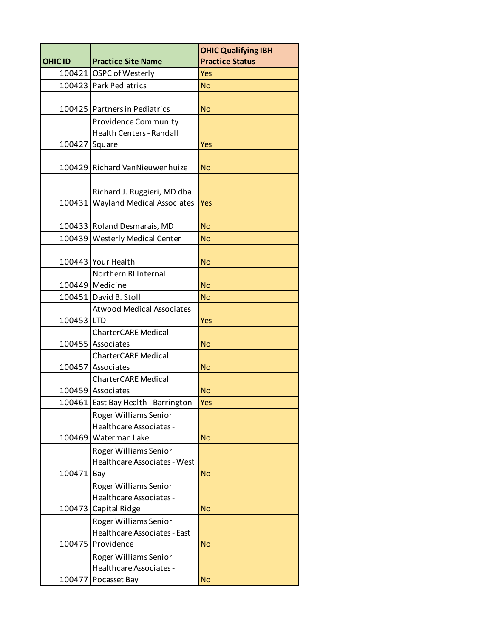|                |                                                 | <b>OHIC Qualifying IBH</b> |
|----------------|-------------------------------------------------|----------------------------|
| <b>OHIC ID</b> | <b>Practice Site Name</b>                       | <b>Practice Status</b>     |
|                | 100421 OSPC of Westerly                         | <b>Yes</b>                 |
|                | 100423 Park Pediatrics                          | <b>No</b>                  |
|                |                                                 |                            |
|                | 100425 Partners in Pediatrics                   | <b>No</b>                  |
|                | <b>Providence Community</b>                     |                            |
|                | <b>Health Centers - Randall</b>                 |                            |
| 100427         | Square                                          | Yes                        |
|                |                                                 |                            |
|                | 100429 Richard VanNieuwenhuize                  | <b>No</b>                  |
|                |                                                 |                            |
|                | Richard J. Ruggieri, MD dba                     |                            |
| 100431         | <b>Wayland Medical Associates</b>               | Yes                        |
|                |                                                 |                            |
|                | 100433 Roland Desmarais, MD                     | <b>No</b>                  |
| 100439         | <b>Westerly Medical Center</b>                  | <b>No</b>                  |
|                |                                                 |                            |
|                | 100443 Your Health                              | <b>No</b>                  |
|                | Northern RI Internal                            |                            |
|                | 100449 Medicine                                 | <b>No</b>                  |
|                | 100451 David B. Stoll                           | <b>No</b>                  |
|                | <b>Atwood Medical Associates</b>                |                            |
| 100453 LTD     |                                                 | <b>Yes</b>                 |
|                | <b>CharterCARE Medical</b><br>100455 Associates | <b>No</b>                  |
|                | <b>CharterCARE Medical</b>                      |                            |
|                | 100457 Associates                               | <b>No</b>                  |
|                | <b>CharterCARE Medical</b>                      |                            |
|                | 100459 Associates                               | <b>No</b>                  |
|                | 100461 East Bay Health - Barrington             | <b>Yes</b>                 |
|                | Roger Williams Senior                           |                            |
|                | Healthcare Associates -                         |                            |
| 100469         | Waterman Lake                                   | <b>No</b>                  |
|                | Roger Williams Senior                           |                            |
|                | Healthcare Associates - West                    |                            |
| 100471         | Bay                                             | <b>No</b>                  |
|                | Roger Williams Senior                           |                            |
|                | Healthcare Associates -                         |                            |
| 100473         | Capital Ridge                                   | <b>No</b>                  |
|                | Roger Williams Senior                           |                            |
|                | Healthcare Associates - East                    |                            |
| 100475         | Providence                                      | <b>No</b>                  |
|                | Roger Williams Senior                           |                            |
|                | Healthcare Associates -                         |                            |
| 100477         | Pocasset Bay                                    | <b>No</b>                  |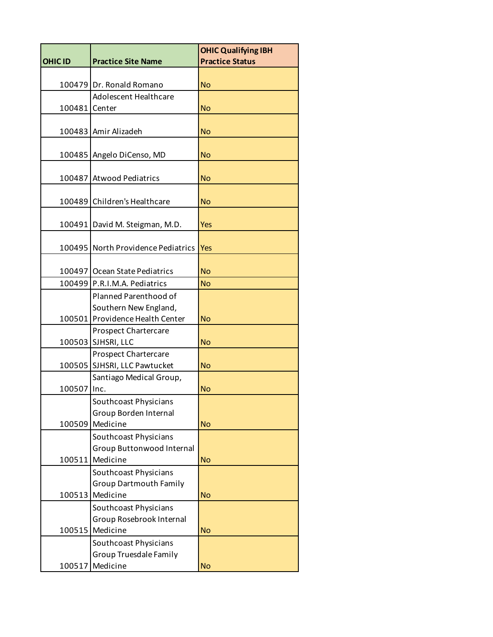|                |                                                    | <b>OHIC Qualifying IBH</b> |
|----------------|----------------------------------------------------|----------------------------|
| <b>OHIC ID</b> | <b>Practice Site Name</b>                          | <b>Practice Status</b>     |
| 100479         | Dr. Ronald Romano                                  | <b>No</b>                  |
|                | Adolescent Healthcare                              |                            |
| 100481         | Center                                             | <b>No</b>                  |
| 100483         | Amir Alizadeh                                      | <b>No</b>                  |
|                |                                                    |                            |
| 100485         | Angelo DiCenso, MD                                 | <b>No</b>                  |
|                |                                                    |                            |
| 100487         | <b>Atwood Pediatrics</b>                           | <b>No</b>                  |
|                |                                                    |                            |
| 100489         | Children's Healthcare                              | <b>No</b>                  |
| 100491         | David M. Steigman, M.D.                            | <b>Yes</b>                 |
|                |                                                    |                            |
| 100495         | North Providence Pediatrics                        | <b>Yes</b>                 |
| 100497         | Ocean State Pediatrics                             | <b>No</b>                  |
| 100499         | P.R.I.M.A. Pediatrics                              | <b>No</b>                  |
|                | Planned Parenthood of                              |                            |
|                | Southern New England,                              |                            |
| 100501         | Providence Health Center                           | <b>No</b>                  |
|                | Prospect Chartercare                               |                            |
| 100503         | SJHSRI, LLC                                        | <b>No</b>                  |
|                | <b>Prospect Chartercare</b>                        |                            |
| 100505         | SJHSRI, LLC Pawtucket                              | <b>No</b>                  |
|                | Santiago Medical Group,                            |                            |
| 100507         | Inc.                                               | <b>No</b>                  |
|                | Southcoast Physicians                              |                            |
|                | Group Borden Internal                              |                            |
| 100509         | Medicine                                           | <b>No</b>                  |
|                | Southcoast Physicians<br>Group Buttonwood Internal |                            |
| 100511         | Medicine                                           | <b>No</b>                  |
|                | Southcoast Physicians                              |                            |
|                | <b>Group Dartmouth Family</b>                      |                            |
| 100513         | Medicine                                           | <b>No</b>                  |
|                | Southcoast Physicians                              |                            |
|                | Group Rosebrook Internal                           |                            |
| 100515         | Medicine                                           | <b>No</b>                  |
|                | Southcoast Physicians                              |                            |
|                | <b>Group Truesdale Family</b>                      |                            |
| 100517         | Medicine                                           | <b>No</b>                  |